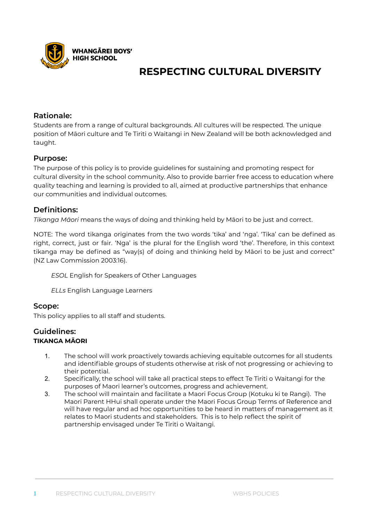

## **RESPECTING CULTURAL DIVERSITY**

## **Rationale:**

Students are from a range of cultural backgrounds. All cultures will be respected. The unique position of Māori culture and Te Tiriti o Waitangi in New Zealand will be both acknowledged and taught.

## **Purpose:**

The purpose of this policy is to provide guidelines for sustaining and promoting respect for cultural diversity in the school community. Also to provide barrier free access to education where quality teaching and learning is provided to all, aimed at productive partnerships that enhance our communities and individual outcomes.

## **Definitions:**

*Tikanga Māori* means the ways of doing and thinking held by Māori to be just and correct.

NOTE: The word tikanga originates from the two words 'tika' and 'nga'. 'Tika' can be defined as right, correct, just or fair. 'Nga' is the plural for the English word 'the'. Therefore, in this context tikanga may be defined as "way(s) of doing and thinking held by Māori to be just and correct" (NZ Law Commission 2003:16).

*ESOL* English for Speakers of Other Languages

*ELLs* English Language Learners

## **Scope:**

This policy applies to all staff and students.

## **Guidelines: TIKANGA MĀORI**

- 1. The school will work proactively towards achieving equitable outcomes for all students and identifiable groups of students otherwise at risk of not progressing or achieving to their potential.
- 2. Specifically, the school will take all practical steps to effect Te Tiriti o Waitangi for the purposes of Maori learner's outcomes, progress and achievement.
- 3. The school will maintain and facilitate a Maori Focus Group (Kotuku ki te Rangi). The Maori Parent HHui shall operate under the Maori Focus Group Terms of Reference and will have regular and ad hoc opportunities to be heard in matters of management as it relates to Maori students and stakeholders. This is to help reflect the spirit of partnership envisaged under Te Tiriti o Waitangi.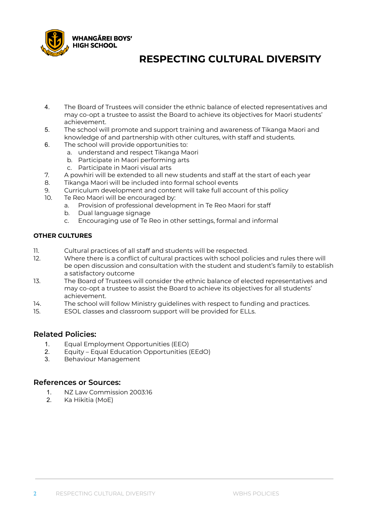

## **RESPECTING CULTURAL DIVERSITY**

- 4. The Board of Trustees will consider the ethnic balance of elected representatives and may co-opt a trustee to assist the Board to achieve its objectives for Maori students' achievement.
- 5. The school will promote and support training and awareness of Tikanga Maori and knowledge of and partnership with other cultures, with staff and students.
- 6. The school will provide opportunities to:
	- a. understand and respect Tikanga Maori
	- b. Participate in Maori performing arts
	- c. Participate in Maori visual arts
- 7. A powhiri will be extended to all new students and staff at the start of each year
- 8. Tikanga Maori will be included into formal school events
- 9. Curriculum development and content will take full account of this policy
- 10. Te Reo Maori will be encouraged by:
	- a. Provision of professional development in Te Reo Maori for staff
	- b. Dual language signage
	- c. Encouraging use of Te Reo in other settings, formal and informal

#### **OTHER CULTURES**

- 11. Cultural practices of all staff and students will be respected.
- 12. Where there is a conflict of cultural practices with school policies and rules there will be open discussion and consultation with the student and student's family to establish a satisfactory outcome
- 13. The Board of Trustees will consider the ethnic balance of elected representatives and may co-opt a trustee to assist the Board to achieve its objectives for all students' achievement.
- 14. The school will follow Ministry guidelines with respect to funding and practices.
- 15. ESOL classes and classroom support will be provided for ELLs.

## **Related Policies:**

- 1. Equal Employment Opportunities (EEO)
- 2. Equity Equal Education Opportunities (EEdO)
- 3. Behaviour Management

#### **References or Sources:**

- 1. NZ Law Commission 2003:16
- 2. Ka Hikitia (MoE)